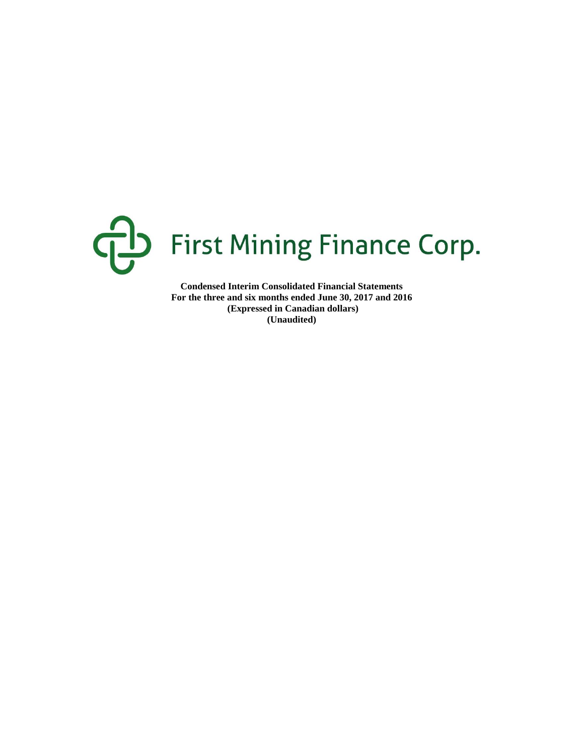

**Condensed Interim Consolidated Financial Statements For the three and six months ended June 30, 2017 and 2016 (Expressed in Canadian dollars) (Unaudited)**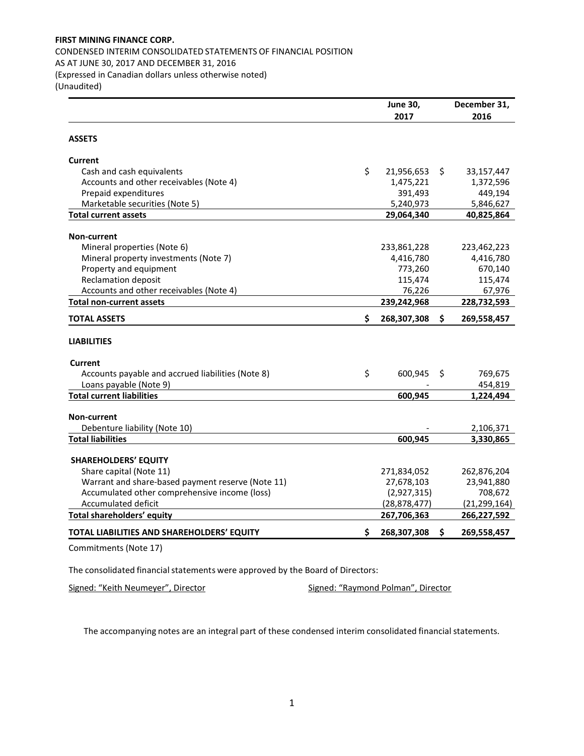CONDENSED INTERIM CONSOLIDATED STATEMENTS OF FINANCIAL POSITION AS AT JUNE 30, 2017 AND DECEMBER 31, 2016 (Expressed in Canadian dollars unless otherwise noted)

(Unaudited)

|                                                   | <b>June 30,</b>   |     | December 31,   |
|---------------------------------------------------|-------------------|-----|----------------|
|                                                   | 2017              |     | 2016           |
| <b>ASSETS</b>                                     |                   |     |                |
| Current                                           |                   |     |                |
| Cash and cash equivalents                         | \$<br>21,956,653  | \$. | 33,157,447     |
| Accounts and other receivables (Note 4)           | 1,475,221         |     | 1,372,596      |
| Prepaid expenditures                              | 391,493           |     | 449,194        |
| Marketable securities (Note 5)                    | 5,240,973         |     | 5,846,627      |
| <b>Total current assets</b>                       | 29,064,340        |     | 40,825,864     |
| Non-current                                       |                   |     |                |
| Mineral properties (Note 6)                       | 233,861,228       |     | 223,462,223    |
| Mineral property investments (Note 7)             | 4,416,780         |     | 4,416,780      |
| Property and equipment                            | 773,260           |     | 670,140        |
| <b>Reclamation deposit</b>                        | 115,474           |     | 115,474        |
| Accounts and other receivables (Note 4)           | 76,226            |     | 67,976         |
| <b>Total non-current assets</b>                   | 239,242,968       |     | 228,732,593    |
| <b>TOTAL ASSETS</b>                               | \$<br>268,307,308 | \$  | 269,558,457    |
| <b>LIABILITIES</b>                                |                   |     |                |
| Current                                           |                   |     |                |
| Accounts payable and accrued liabilities (Note 8) | \$<br>600,945     | S   | 769,675        |
| Loans payable (Note 9)                            |                   |     | 454,819        |
| <b>Total current liabilities</b>                  | 600,945           |     | 1,224,494      |
| <b>Non-current</b>                                |                   |     |                |
| Debenture liability (Note 10)                     |                   |     | 2,106,371      |
| <b>Total liabilities</b>                          | 600,945           |     | 3,330,865      |
| <b>SHAREHOLDERS' EQUITY</b>                       |                   |     |                |
| Share capital (Note 11)                           | 271,834,052       |     | 262,876,204    |
| Warrant and share-based payment reserve (Note 11) | 27,678,103        |     | 23,941,880     |
| Accumulated other comprehensive income (loss)     | (2,927,315)       |     | 708,672        |
| Accumulated deficit                               | (28, 878, 477)    |     | (21, 299, 164) |
| Total shareholders' equity                        | 267,706,363       |     | 266,227,592    |
| TOTAL LIABILITIES AND SHAREHOLDERS' EQUITY        | \$<br>268,307,308 | S.  | 269,558,457    |
| Commitments (Note 17)                             |                   |     |                |

The consolidated financial statements were approved by the Board of Directors:

Signed: "Keith Neumeyer", Director Signed: "Raymond Polman", Director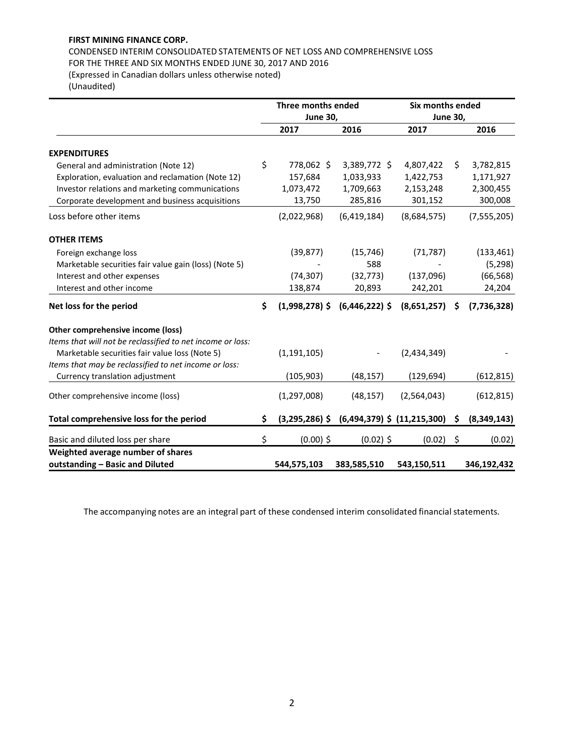# CONDENSED INTERIM CONSOLIDATED STATEMENTS OF NET LOSS AND COMPREHENSIVE LOSS FOR THE THREE AND SIX MONTHS ENDED JUNE 30, 2017 AND 2016

(Expressed in Canadian dollars unless otherwise noted) (Unaudited)

|                                                                      | Three months ended<br><b>June 30,</b> |                                   | Six months ended | <b>June 30,</b> |               |  |  |  |
|----------------------------------------------------------------------|---------------------------------------|-----------------------------------|------------------|-----------------|---------------|--|--|--|
|                                                                      | 2017                                  | 2016                              | 2017             |                 | 2016          |  |  |  |
| <b>EXPENDITURES</b>                                                  |                                       |                                   |                  |                 |               |  |  |  |
| General and administration (Note 12)                                 | \$<br>778,062 \$                      | 3,389,772 \$                      | 4,807,422        | \$              | 3,782,815     |  |  |  |
| Exploration, evaluation and reclamation (Note 12)                    | 157,684                               | 1,033,933                         | 1,422,753        |                 | 1,171,927     |  |  |  |
| Investor relations and marketing communications                      | 1,073,472                             | 1,709,663                         | 2,153,248        |                 | 2,300,455     |  |  |  |
| Corporate development and business acquisitions                      | 13,750                                | 285,816                           | 301,152          |                 | 300,008       |  |  |  |
| Loss before other items                                              | (2,022,968)                           | (6,419,184)                       | (8,684,575)      |                 | (7, 555, 205) |  |  |  |
| <b>OTHER ITEMS</b>                                                   |                                       |                                   |                  |                 |               |  |  |  |
| Foreign exchange loss                                                | (39, 877)                             | (15, 746)                         | (71, 787)        |                 | (133, 461)    |  |  |  |
| Marketable securities fair value gain (loss) (Note 5)                |                                       | 588                               |                  |                 | (5, 298)      |  |  |  |
| Interest and other expenses                                          | (74, 307)                             | (32, 773)                         | (137,096)        |                 | (66, 568)     |  |  |  |
| Interest and other income                                            | 138,874                               | 20,893                            | 242,201          |                 | 24,204        |  |  |  |
| Net loss for the period                                              | \$                                    | $(1,998,278)$ \$ $(6,446,222)$ \$ | (8,651,257)      | \$              | (7, 736, 328) |  |  |  |
| Other comprehensive income (loss)                                    |                                       |                                   |                  |                 |               |  |  |  |
| Items that will not be reclassified to net income or loss:           |                                       |                                   |                  |                 |               |  |  |  |
| Marketable securities fair value loss (Note 5)                       | (1, 191, 105)                         |                                   | (2,434,349)      |                 |               |  |  |  |
| Items that may be reclassified to net income or loss:                |                                       |                                   |                  |                 |               |  |  |  |
| Currency translation adjustment                                      | (105, 903)                            | (48, 157)                         | (129, 694)       |                 | (612, 815)    |  |  |  |
| Other comprehensive income (loss)                                    | (1, 297, 008)                         | (48, 157)                         | (2,564,043)      |                 | (612, 815)    |  |  |  |
| Total comprehensive loss for the period                              | \$<br>$(3,295,286)$ \$                | $(6,494,379)$ \$ $(11,215,300)$   |                  | S               | (8,349,143)   |  |  |  |
| Basic and diluted loss per share                                     | \$<br>$(0.00)$ \$                     | $(0.02)$ \$                       | (0.02)           | -\$             | (0.02)        |  |  |  |
| Weighted average number of shares<br>outstanding - Basic and Diluted | 544,575,103                           | 383,585,510                       | 543,150,511      |                 | 346,192,432   |  |  |  |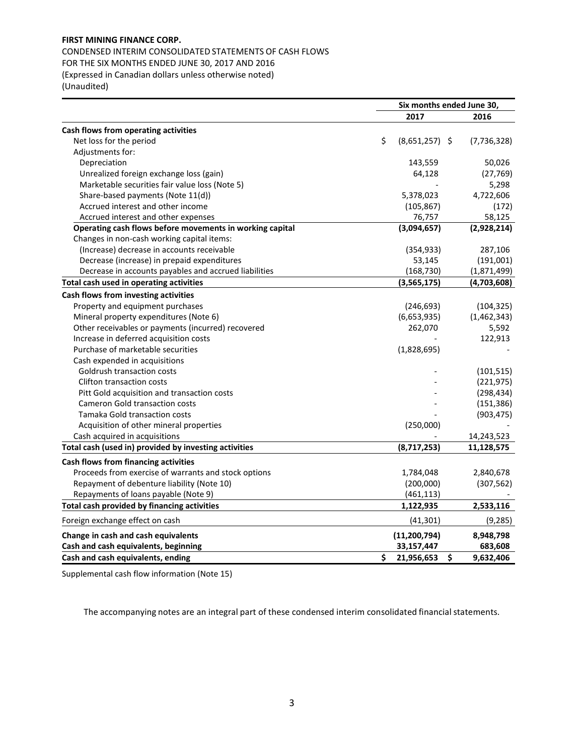CONDENSED INTERIM CONSOLIDATED STATEMENTS OF CASH FLOWS FOR THE SIX MONTHS ENDED JUNE 30, 2017 AND 2016 (Expressed in Canadian dollars unless otherwise noted) (Unaudited)

|                                                          | Six months ended June 30, |               |
|----------------------------------------------------------|---------------------------|---------------|
|                                                          | 2017                      | 2016          |
| Cash flows from operating activities                     |                           |               |
| Net loss for the period                                  | \$<br>$(8,651,257)$ \$    | (7, 736, 328) |
| Adjustments for:                                         |                           |               |
| Depreciation                                             | 143,559                   | 50,026        |
| Unrealized foreign exchange loss (gain)                  | 64,128                    | (27, 769)     |
| Marketable securities fair value loss (Note 5)           |                           | 5,298         |
| Share-based payments (Note 11(d))                        | 5,378,023                 | 4,722,606     |
| Accrued interest and other income                        | (105, 867)                | (172)         |
| Accrued interest and other expenses                      | 76,757                    | 58,125        |
| Operating cash flows before movements in working capital | (3,094,657)               | (2,928,214)   |
| Changes in non-cash working capital items:               |                           |               |
| (Increase) decrease in accounts receivable               | (354, 933)                | 287,106       |
| Decrease (increase) in prepaid expenditures              | 53,145                    | (191,001)     |
| Decrease in accounts payables and accrued liabilities    | (168, 730)                | (1,871,499)   |
| Total cash used in operating activities                  | (3,565,175)               | (4,703,608)   |
| Cash flows from investing activities                     |                           |               |
| Property and equipment purchases                         | (246, 693)                | (104, 325)    |
| Mineral property expenditures (Note 6)                   | (6,653,935)               | (1,462,343)   |
| Other receivables or payments (incurred) recovered       | 262,070                   | 5,592         |
| Increase in deferred acquisition costs                   |                           | 122,913       |
| Purchase of marketable securities                        | (1,828,695)               |               |
| Cash expended in acquisitions                            |                           |               |
| Goldrush transaction costs                               |                           | (101, 515)    |
| <b>Clifton transaction costs</b>                         |                           | (221, 975)    |
| Pitt Gold acquisition and transaction costs              |                           | (298, 434)    |
| <b>Cameron Gold transaction costs</b>                    |                           | (151, 386)    |
| Tamaka Gold transaction costs                            |                           | (903, 475)    |
| Acquisition of other mineral properties                  | (250,000)                 |               |
| Cash acquired in acquisitions                            |                           | 14,243,523    |
| Total cash (used in) provided by investing activities    | (8,717,253)               | 11,128,575    |
| Cash flows from financing activities                     |                           |               |
| Proceeds from exercise of warrants and stock options     | 1,784,048                 | 2,840,678     |
| Repayment of debenture liability (Note 10)               | (200,000)                 | (307, 562)    |
| Repayments of loans payable (Note 9)                     | (461, 113)                |               |
| Total cash provided by financing activities              | 1,122,935                 | 2,533,116     |
| Foreign exchange effect on cash                          | (41, 301)                 | (9, 285)      |
| Change in cash and cash equivalents                      | (11, 200, 794)            | 8,948,798     |
| Cash and cash equivalents, beginning                     | 33,157,447                | 683,608       |
| Cash and cash equivalents, ending                        | \$<br>\$<br>21,956,653    | 9,632,406     |

Supplemental cash flow information (Note 15)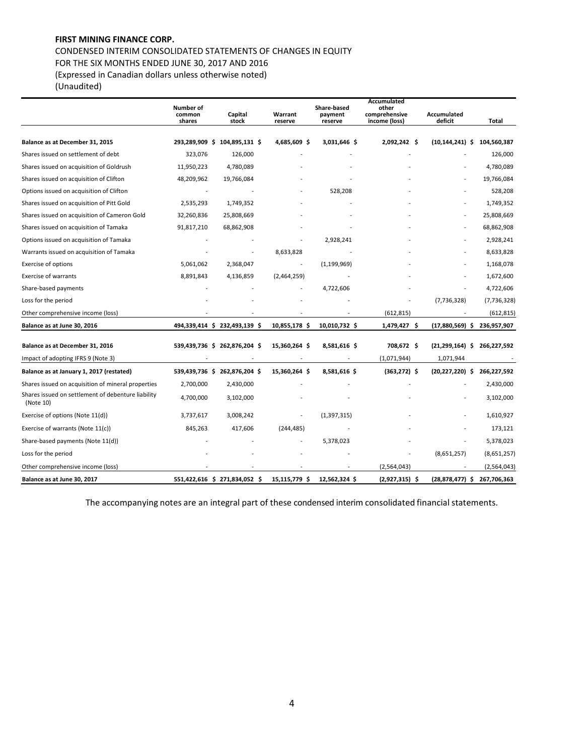CONDENSED INTERIM CONSOLIDATED STATEMENTS OF CHANGES IN EQUITY FOR THE SIX MONTHS ENDED JUNE 30, 2017 AND 2016 (Expressed in Canadian dollars unless otherwise noted)

(Unaudited)

|                                                                 | Number of<br>common<br>shares | Capital<br>stock              | Warrant<br>reserve | Share-based<br>payment<br>reserve | Accumulated<br>other<br>comprehensive<br>income (loss) | Accumulated<br>deficit | Total         |
|-----------------------------------------------------------------|-------------------------------|-------------------------------|--------------------|-----------------------------------|--------------------------------------------------------|------------------------|---------------|
|                                                                 |                               |                               |                    |                                   |                                                        |                        |               |
| Balance as at December 31, 2015                                 | 293,289,909 \$                | 104,895,131 \$                | 4,685,609 \$       | 3,031,646 \$                      | 2,092,242 \$                                           | (10, 144, 241)<br>-S   | 104,560,387   |
| Shares issued on settlement of debt                             | 323,076                       | 126,000                       |                    |                                   |                                                        |                        | 126,000       |
| Shares issued on acquisition of Goldrush                        | 11,950,223                    | 4,780,089                     |                    |                                   |                                                        |                        | 4,780,089     |
| Shares issued on acquisition of Clifton                         | 48,209,962                    | 19,766,084                    |                    |                                   |                                                        |                        | 19,766,084    |
| Options issued on acquisition of Clifton                        |                               |                               |                    | 528,208                           |                                                        |                        | 528,208       |
| Shares issued on acquisition of Pitt Gold                       | 2,535,293                     | 1,749,352                     |                    |                                   |                                                        |                        | 1,749,352     |
| Shares issued on acquisition of Cameron Gold                    | 32,260,836                    | 25,808,669                    |                    |                                   |                                                        |                        | 25,808,669    |
| Shares issued on acquisition of Tamaka                          | 91,817,210                    | 68,862,908                    |                    |                                   |                                                        |                        | 68,862,908    |
| Options issued on acquisition of Tamaka                         |                               |                               |                    | 2,928,241                         |                                                        |                        | 2,928,241     |
| Warrants issued on acquisition of Tamaka                        |                               |                               | 8,633,828          |                                   |                                                        |                        | 8,633,828     |
| Exercise of options                                             | 5,061,062                     | 2,368,047                     | $\overline{a}$     | (1, 199, 969)                     |                                                        |                        | 1,168,078     |
| <b>Exercise of warrants</b>                                     | 8,891,843                     | 4,136,859                     | (2,464,259)        |                                   |                                                        |                        | 1,672,600     |
| Share-based payments                                            |                               |                               |                    | 4,722,606                         |                                                        |                        | 4,722,606     |
| Loss for the period                                             |                               |                               |                    |                                   |                                                        | (7, 736, 328)          | (7, 736, 328) |
| Other comprehensive income (loss)                               |                               |                               |                    |                                   | (612, 815)                                             |                        | (612, 815)    |
| Balance as at June 30, 2016                                     |                               | 494,339,414 \$ 232,493,139 \$ | 10,855,178 \$      | 10,010,732 \$                     | 1,479,427 \$                                           | $(17,880,569)$ \$      | 236,957,907   |
| Balance as at December 31, 2016                                 | 539,439,736 \$                | 262,876,204 \$                | 15,360,264 \$      | 8,581,616\$                       | 708,672\$                                              | $(21, 299, 164)$ \$    | 266,227,592   |
| Impact of adopting IFRS 9 (Note 3)                              |                               |                               |                    |                                   | (1,071,944)                                            | 1,071,944              |               |
| Balance as at January 1, 2017 (restated)                        |                               | 539,439,736 \$ 262,876,204 \$ | 15,360,264 \$      | 8,581,616\$                       | $(363, 272)$ \$                                        | $(20, 227, 220)$ \$    | 266,227,592   |
| Shares issued on acquisition of mineral properties              | 2,700,000                     | 2,430,000                     |                    |                                   |                                                        |                        | 2,430,000     |
| Shares issued on settlement of debenture liability<br>(Note 10) | 4,700,000                     | 3,102,000                     |                    |                                   |                                                        |                        | 3,102,000     |
| Exercise of options (Note 11(d))                                | 3,737,617                     | 3,008,242                     |                    | (1, 397, 315)                     |                                                        |                        | 1,610,927     |
| Exercise of warrants (Note 11(c))                               | 845,263                       | 417,606                       | (244, 485)         |                                   |                                                        |                        | 173,121       |
| Share-based payments (Note 11(d))                               |                               |                               |                    | 5,378,023                         |                                                        |                        | 5,378,023     |
| Loss for the period                                             |                               |                               |                    |                                   |                                                        | (8,651,257)            | (8,651,257)   |
| Other comprehensive income (loss)                               |                               |                               |                    |                                   | (2,564,043)                                            |                        | (2,564,043)   |
| Balance as at June 30, 2017                                     |                               | 551,422,616 \$ 271,834,052 \$ | 15,115,779 \$      | 12,562,324 \$                     | $(2,927,315)$ \$                                       | $(28, 878, 477)$ \$    | 267,706,363   |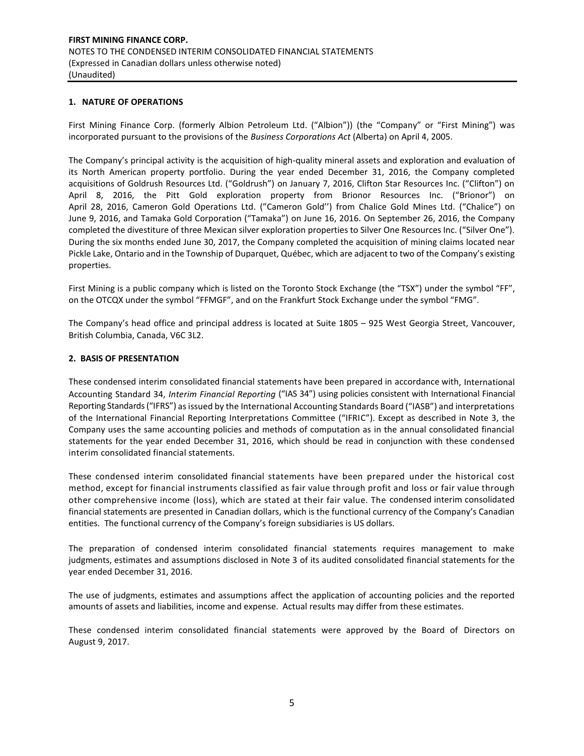#### **1. NATURE OF OPERATIONS**

First Mining Finance Corp. (formerly Albion Petroleum Ltd. ("Albion")) (the "Company" or "First Mining") was incorporated pursuant to the provisions of the *Business Corporations Act* (Alberta) on April 4, 2005.

The Company's principal activity is the acquisition of high-quality mineral assets and exploration and evaluation of its North American property portfolio. During the year ended December 31, 2016, the Company completed acquisitions of Goldrush Resources Ltd. ("Goldrush") on January 7, 2016, Clifton Star Resources Inc. ("Clifton") on April 8, 2016, the Pitt Gold exploration property from Brionor Resources Inc. ("Brionor") on April 28, 2016, Cameron Gold Operations Ltd. ("Cameron Gold'') from Chalice Gold Mines Ltd. ("Chalice") on June 9, 2016, and Tamaka Gold Corporation ("Tamaka") on June 16, 2016. On September 26, 2016, the Company completed the divestiture of three Mexican silver exploration properties to Silver One Resources Inc. ("Silver One"). During the six months ended June 30, 2017, the Company completed the acquisition of mining claims located near Pickle Lake, Ontario and in the Township of Duparquet, Québec, which are adjacent to two of the Company's existing properties.

First Mining is a public company which is listed on the Toronto Stock Exchange (the "TSX") under the symbol "FF", on the OTCQX under the symbol "FFMGF", and on the Frankfurt Stock Exchange under the symbol "FMG".

The Company's head office and principal address is located at Suite 1805 – 925 West Georgia Street, Vancouver, British Columbia, Canada, V6C 3L2.

### **2. BASIS OF PRESENTATION**

These condensed interim consolidated financial statements have been prepared in accordance with, International Accounting Standard 34, *Interim Financial Reporting* ("IAS 34") using policies consistent with International Financial Reporting Standards ("IFRS") as issued by the International Accounting Standards Board ("IASB") and interpretations of the International Financial Reporting Interpretations Committee ("IFRIC"). Except as described in Note 3, the Company uses the same accounting policies and methods of computation as in the annual consolidated financial statements for the year ended December 31, 2016, which should be read in conjunction with these condensed interim consolidated financial statements.

These condensed interim consolidated financial statements have been prepared under the historical cost method, except for financial instruments classified as fair value through profit and loss or fair value through other comprehensive income (loss), which are stated at their fair value. The condensed interim consolidated financial statements are presented in Canadian dollars, which is the functional currency of the Company's Canadian entities. The functional currency of the Company's foreign subsidiaries is US dollars.

The preparation of condensed interim consolidated financial statements requires management to make judgments, estimates and assumptions disclosed in Note 3 of its audited consolidated financial statements for the year ended December 31, 2016.

The use of judgments, estimates and assumptions affect the application of accounting policies and the reported amounts of assets and liabilities, income and expense. Actual results may differ from these estimates.

These condensed interim consolidated financial statements were approved by the Board of Directors on August 9, 2017.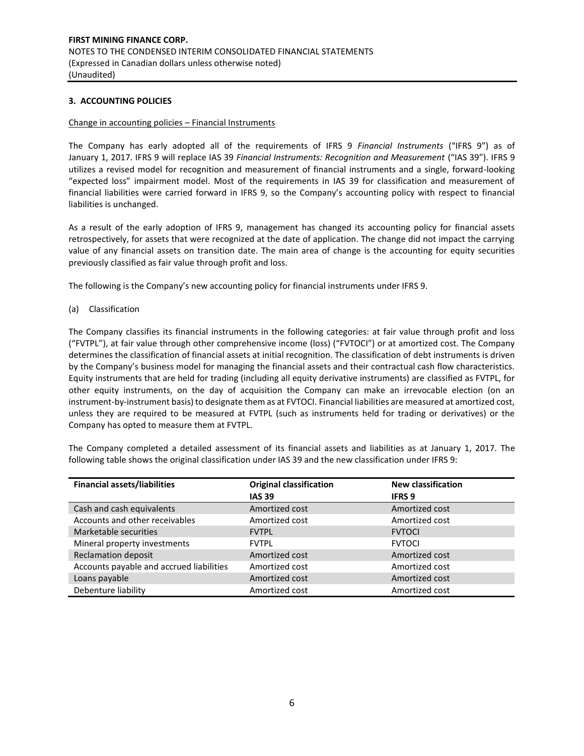### **3. ACCOUNTING POLICIES**

#### Change in accounting policies – Financial Instruments

The Company has early adopted all of the requirements of IFRS 9 *Financial Instruments* ("IFRS 9") as of January 1, 2017. IFRS 9 will replace IAS 39 *Financial Instruments: Recognition and Measurement* ("IAS 39"). IFRS 9 utilizes a revised model for recognition and measurement of financial instruments and a single, forward-looking "expected loss" impairment model. Most of the requirements in IAS 39 for classification and measurement of financial liabilities were carried forward in IFRS 9, so the Company's accounting policy with respect to financial liabilities is unchanged.

As a result of the early adoption of IFRS 9, management has changed its accounting policy for financial assets retrospectively, for assets that were recognized at the date of application. The change did not impact the carrying value of any financial assets on transition date. The main area of change is the accounting for equity securities previously classified as fair value through profit and loss.

The following is the Company's new accounting policy for financial instruments under IFRS 9.

(a) Classification

The Company classifies its financial instruments in the following categories: at fair value through profit and loss ("FVTPL"), at fair value through other comprehensive income (loss) ("FVTOCI") or at amortized cost. The Company determines the classification of financial assets at initial recognition. The classification of debt instruments is driven by the Company's business model for managing the financial assets and their contractual cash flow characteristics. Equity instruments that are held for trading (including all equity derivative instruments) are classified as FVTPL, for other equity instruments, on the day of acquisition the Company can make an irrevocable election (on an instrument-by-instrument basis) to designate them as at FVTOCI. Financial liabilities are measured at amortized cost, unless they are required to be measured at FVTPL (such as instruments held for trading or derivatives) or the Company has opted to measure them at FVTPL.

The Company completed a detailed assessment of its financial assets and liabilities as at January 1, 2017. The following table shows the original classification under IAS 39 and the new classification under IFRS 9:

| <b>Financial assets/liabilities</b>      | <b>Original classification</b><br><b>IAS 39</b> | <b>New classification</b><br><b>IFRS 9</b> |
|------------------------------------------|-------------------------------------------------|--------------------------------------------|
| Cash and cash equivalents                | Amortized cost                                  | Amortized cost                             |
| Accounts and other receivables           | Amortized cost                                  | Amortized cost                             |
| Marketable securities                    | <b>FVTPL</b>                                    | <b>FVTOCI</b>                              |
| Mineral property investments             | <b>FVTPL</b>                                    | <b>FVTOCI</b>                              |
| <b>Reclamation deposit</b>               | Amortized cost                                  | Amortized cost                             |
| Accounts payable and accrued liabilities | Amortized cost                                  | Amortized cost                             |
| Loans payable                            | Amortized cost                                  | Amortized cost                             |
| Debenture liability                      | Amortized cost                                  | Amortized cost                             |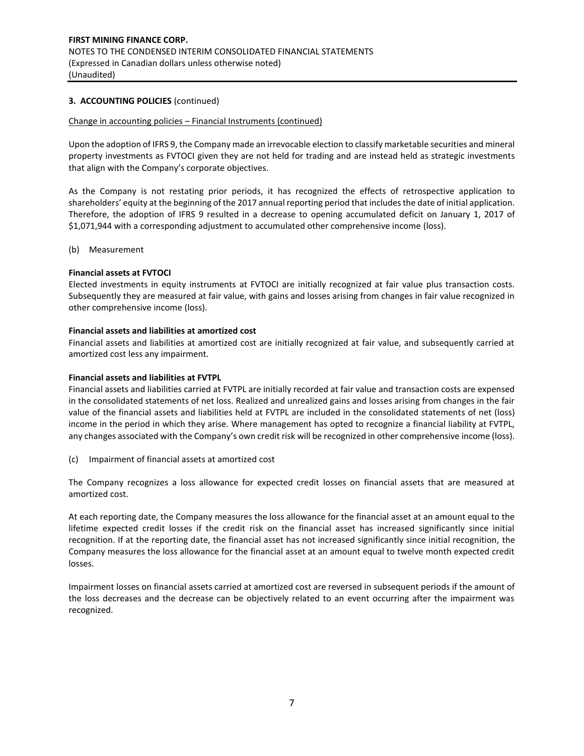### **3. ACCOUNTING POLICIES** (continued)

#### Change in accounting policies – Financial Instruments (continued)

Upon the adoption of IFRS 9, the Company made an irrevocable election to classify marketable securities and mineral property investments as FVTOCI given they are not held for trading and are instead held as strategic investments that align with the Company's corporate objectives.

As the Company is not restating prior periods, it has recognized the effects of retrospective application to shareholders' equity at the beginning of the 2017 annual reporting period that includes the date of initial application. Therefore, the adoption of IFRS 9 resulted in a decrease to opening accumulated deficit on January 1, 2017 of \$1,071,944 with a corresponding adjustment to accumulated other comprehensive income (loss).

#### (b) Measurement

### **Financial assets at FVTOCI**

Elected investments in equity instruments at FVTOCI are initially recognized at fair value plus transaction costs. Subsequently they are measured at fair value, with gains and losses arising from changes in fair value recognized in other comprehensive income (loss).

#### **Financial assets and liabilities at amortized cost**

Financial assets and liabilities at amortized cost are initially recognized at fair value, and subsequently carried at amortized cost less any impairment.

#### **Financial assets and liabilities at FVTPL**

Financial assets and liabilities carried at FVTPL are initially recorded at fair value and transaction costs are expensed in the consolidated statements of net loss. Realized and unrealized gains and losses arising from changes in the fair value of the financial assets and liabilities held at FVTPL are included in the consolidated statements of net (loss) income in the period in which they arise. Where management has opted to recognize a financial liability at FVTPL, any changes associated with the Company's own credit risk will be recognized in other comprehensive income (loss).

(c) Impairment of financial assets at amortized cost

The Company recognizes a loss allowance for expected credit losses on financial assets that are measured at amortized cost.

At each reporting date, the Company measures the loss allowance for the financial asset at an amount equal to the lifetime expected credit losses if the credit risk on the financial asset has increased significantly since initial recognition. If at the reporting date, the financial asset has not increased significantly since initial recognition, the Company measures the loss allowance for the financial asset at an amount equal to twelve month expected credit losses.

Impairment losses on financial assets carried at amortized cost are reversed in subsequent periods if the amount of the loss decreases and the decrease can be objectively related to an event occurring after the impairment was recognized.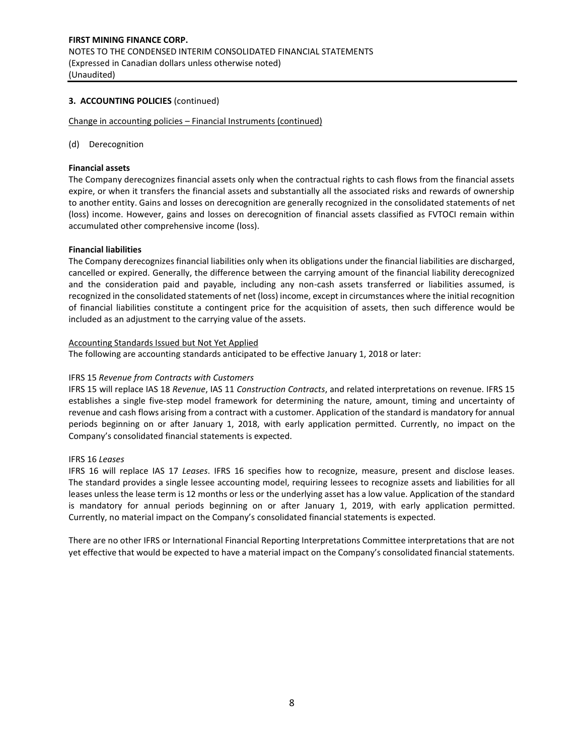### **3. ACCOUNTING POLICIES** (continued)

Change in accounting policies – Financial Instruments (continued)

#### (d) Derecognition

#### **Financial assets**

The Company derecognizes financial assets only when the contractual rights to cash flows from the financial assets expire, or when it transfers the financial assets and substantially all the associated risks and rewards of ownership to another entity. Gains and losses on derecognition are generally recognized in the consolidated statements of net (loss) income. However, gains and losses on derecognition of financial assets classified as FVTOCI remain within accumulated other comprehensive income (loss).

#### **Financial liabilities**

The Company derecognizes financial liabilities only when its obligations under the financial liabilities are discharged, cancelled or expired. Generally, the difference between the carrying amount of the financial liability derecognized and the consideration paid and payable, including any non-cash assets transferred or liabilities assumed, is recognized in the consolidated statements of net (loss) income, except in circumstances where the initial recognition of financial liabilities constitute a contingent price for the acquisition of assets, then such difference would be included as an adjustment to the carrying value of the assets.

#### Accounting Standards Issued but Not Yet Applied

The following are accounting standards anticipated to be effective January 1, 2018 or later:

#### IFRS 15 *Revenue from Contracts with Customers*

IFRS 15 will replace IAS 18 *Revenue*, IAS 11 *Construction Contracts*, and related interpretations on revenue. IFRS 15 establishes a single five‐step model framework for determining the nature, amount, timing and uncertainty of revenue and cash flows arising from a contract with a customer. Application of the standard is mandatory for annual periods beginning on or after January 1, 2018, with early application permitted. Currently, no impact on the Company's consolidated financial statements is expected.

#### IFRS 16 *Leases*

IFRS 16 will replace IAS 17 *Leases*. IFRS 16 specifies how to recognize, measure, present and disclose leases. The standard provides a single lessee accounting model, requiring lessees to recognize assets and liabilities for all leases unless the lease term is 12 months or less or the underlying asset has a low value. Application of the standard is mandatory for annual periods beginning on or after January 1, 2019, with early application permitted. Currently, no material impact on the Company's consolidated financial statements is expected.

There are no other IFRS or International Financial Reporting Interpretations Committee interpretations that are not yet effective that would be expected to have a material impact on the Company's consolidated financial statements.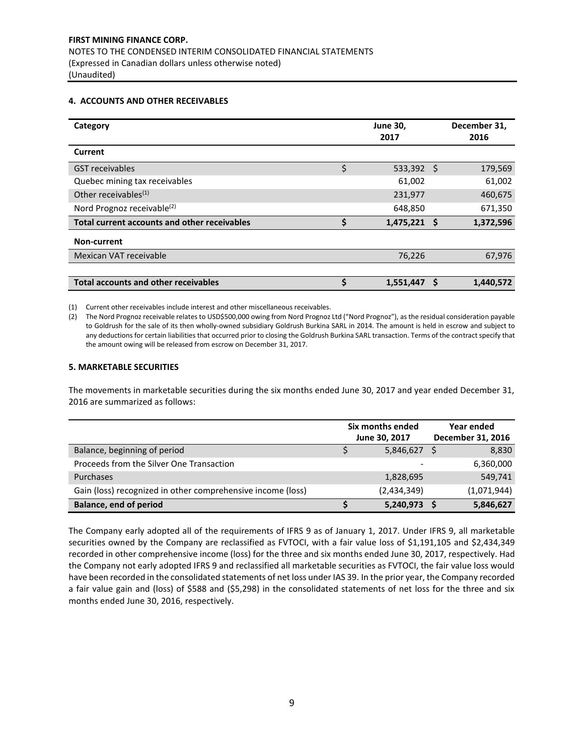#### **4. ACCOUNTS AND OTHER RECEIVABLES**

| Category                                     |    | <b>June 30,</b><br>2017 |   | December 31,<br>2016 |
|----------------------------------------------|----|-------------------------|---|----------------------|
| Current                                      |    |                         |   |                      |
| <b>GST</b> receivables                       | \$ | $533,392$ \$            |   | 179,569              |
| Quebec mining tax receivables                |    | 61,002                  |   | 61,002               |
| Other receivables $^{(1)}$                   |    | 231,977                 |   | 460,675              |
| Nord Prognoz receivable <sup>(2)</sup>       |    | 648,850                 |   | 671,350              |
| Total current accounts and other receivables | \$ | $1,475,221$ \$          |   | 1,372,596            |
| Non-current                                  |    |                         |   |                      |
| Mexican VAT receivable                       |    | 76,226                  |   | 67,976               |
|                                              |    |                         |   |                      |
| <b>Total accounts and other receivables</b>  | Ś  | 1,551,447               | S | 1,440,572            |

(1) Current other receivables include interest and other miscellaneous receivables.

(2) The Nord Prognoz receivable relates to USD\$500,000 owing from Nord Prognoz Ltd ("Nord Prognoz"), as the residual consideration payable to Goldrush for the sale of its then wholly-owned subsidiary Goldrush Burkina SARL in 2014. The amount is held in escrow and subject to any deductions for certain liabilities that occurred prior to closing the Goldrush Burkina SARL transaction. Terms of the contract specify that the amount owing will be released from escrow on December 31, 2017.

#### **5. MARKETABLE SECURITIES**

The movements in marketable securities during the six months ended June 30, 2017 and year ended December 31, 2016 are summarized as follows:

|                                                             | Six months ended<br>June 30, 2017 | Year ended<br>December 31, 2016 |
|-------------------------------------------------------------|-----------------------------------|---------------------------------|
| Balance, beginning of period                                | 5,846,627                         | 8,830                           |
| Proceeds from the Silver One Transaction                    |                                   | 6,360,000                       |
| Purchases                                                   | 1,828,695                         | 549,741                         |
| Gain (loss) recognized in other comprehensive income (loss) | (2,434,349)                       | (1,071,944)                     |
| Balance, end of period                                      | 5,240,973                         | 5,846,627                       |

The Company early adopted all of the requirements of IFRS 9 as of January 1, 2017. Under IFRS 9, all marketable securities owned by the Company are reclassified as FVTOCI, with a fair value loss of \$1,191,105 and \$2,434,349 recorded in other comprehensive income (loss) for the three and six months ended June 30, 2017, respectively. Had the Company not early adopted IFRS 9 and reclassified all marketable securities as FVTOCI, the fair value loss would have been recorded in the consolidated statements of net loss under IAS 39. In the prior year, the Company recorded a fair value gain and (loss) of \$588 and (\$5,298) in the consolidated statements of net loss for the three and six months ended June 30, 2016, respectively.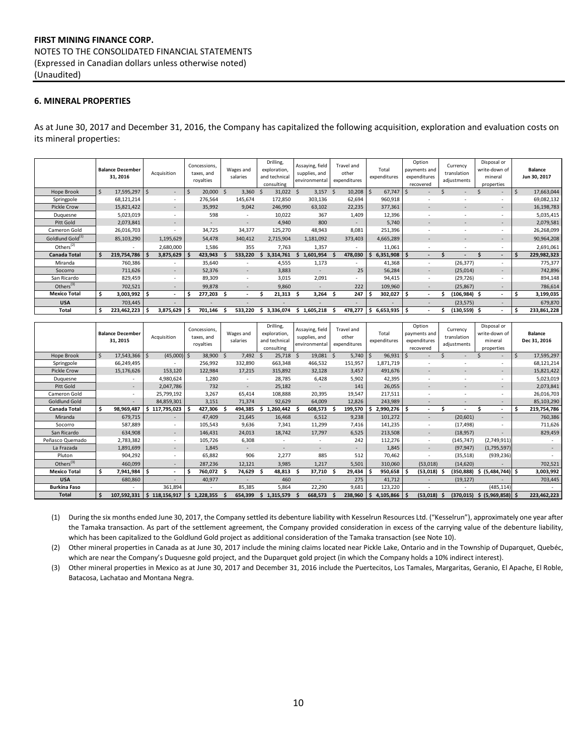# **FIRST MINING FINANCE CORP.** NOTES TO THE CONSOLIDATED FINANCIAL STATEMENTS (Expressed in Canadian dollars unless otherwise noted) (Unaudited)

#### **6. MINERAL PROPERTIES**

As at June 30, 2017 and December 31, 2016, the Company has capitalized the following acquisition, exploration and evaluation costs on its mineral properties:

|                              | <b>Balance December</b><br>31, 2016 |         | Acquisition |                          | Concessions,<br>taxes, and<br>royalties | Wages and<br>salaries    | Drilling,<br>exploration,<br>and technical<br>consulting | Assaying, field<br>supplies, and<br>environmental |                |    | <b>Travel and</b><br>other<br>expenditures |   | Total<br>expenditures |    | Option<br>payments and<br>expenditures<br>recovered | Currency<br>translation<br>adjustments |     | Disposal or<br>write-down of<br>mineral<br>properties |    | <b>Balance</b><br>Jun 30, 2017 |
|------------------------------|-------------------------------------|---------|-------------|--------------------------|-----------------------------------------|--------------------------|----------------------------------------------------------|---------------------------------------------------|----------------|----|--------------------------------------------|---|-----------------------|----|-----------------------------------------------------|----------------------------------------|-----|-------------------------------------------------------|----|--------------------------------|
| Hope Brook                   | Ŝ.<br>17,595,297                    |         | Ś           | $\overline{\phantom{a}}$ | 20,000<br><sub>S</sub>                  | 3,360                    | 31,022                                                   | -S                                                | 3,157          | -S | 10,208                                     |   | 67,747                |    |                                                     |                                        |     | $\sim$                                                | .S | 17,663,044                     |
| Springpole                   | 68,121,214                          |         |             |                          | 276,564                                 | 145,674                  | 172,850                                                  |                                                   | 303,136        |    | 62,694                                     |   | 960,918               |    |                                                     |                                        |     | $\overline{\phantom{a}}$                              |    | 69,082,132                     |
| Pickle Crow                  | 15,821,422                          |         |             | $\overline{\phantom{a}}$ | 35,992                                  | 9,042                    | 246,990                                                  |                                                   | 63,102         |    | 22,235                                     |   | 377,361               |    |                                                     |                                        |     | $\sim$                                                |    | 16,198,783                     |
| Duquesne                     | 5,023,019                           |         |             | $\overline{\phantom{a}}$ | 598                                     | ۰                        | 10,022                                                   |                                                   | 367            |    | 1,409                                      |   | 12,396                |    |                                                     |                                        |     |                                                       |    | 5,035,415                      |
| Pitt Gold                    | 2,073,841                           |         |             | $\overline{\phantom{a}}$ | $\sim$                                  | ٠                        | 4,940                                                    |                                                   | 800            |    |                                            |   | 5,740                 |    |                                                     |                                        |     | $\overline{\phantom{a}}$                              |    | 2,079,581                      |
| Cameron Gold                 | 26,016,703                          |         |             |                          | 34,725                                  | 34,377                   | 125,270                                                  |                                                   | 48,943         |    | 8,081                                      |   | 251,396               |    |                                                     |                                        |     | $\sim$                                                |    | 26,268,099                     |
| Goldlund Gold <sup>(1)</sup> | 85,103,290                          |         | 1,195,629   |                          | 54,478                                  | 340,412                  | 2,715,904                                                | 1,181,092                                         |                |    | 373,403                                    |   | 4,665,289             |    |                                                     |                                        |     | $\sim$                                                |    | 90,964,208                     |
| Others $(2)$                 |                                     |         | 2,680,000   |                          | 1,586                                   | 355                      | 7,763                                                    |                                                   | 1,357          |    |                                            |   | 11,061                |    |                                                     | ٠                                      |     | $\overline{\phantom{a}}$                              |    | 2,691,061                      |
| <b>Canada Total</b>          | \$.<br>219,754,786                  |         | 3,875,629   |                          | 423,943                                 | 533,220                  | 3,314,761                                                | 1,601,954<br>s                                    |                |    | 478,030                                    |   | 6,351,908             |    |                                                     |                                        |     | $\overline{\phantom{a}}$                              |    | 229,982,323                    |
| Miranda                      |                                     | 760,386 |             |                          | 35,640                                  |                          | 4,555                                                    |                                                   | 1,173          |    |                                            |   | 41,368                |    |                                                     | (26, 377)                              |     | $\overline{\phantom{a}}$                              |    | 775,377                        |
| Socorro                      |                                     | 711,626 |             |                          | 52,376                                  | $\overline{\phantom{a}}$ | 3,883                                                    |                                                   |                |    | 25                                         |   | 56,284                |    |                                                     | (25, 014)                              |     | $\sim$                                                |    | 742,896                        |
| San Ricardo                  |                                     | 829,459 |             |                          | 89,309                                  |                          | 3,015                                                    |                                                   | 2,091          |    |                                            |   | 94,415                |    |                                                     | (29, 726)                              |     |                                                       |    | 894,148                        |
| Others <sup>(3)</sup>        |                                     | 702,521 |             | $\sim$                   | 99,878                                  | $\overline{a}$           | 9,860                                                    |                                                   | $\overline{a}$ |    | 222                                        |   | 109,960               |    |                                                     | (25, 867)                              |     | $\sim$                                                |    | 786,614                        |
| <b>Mexico Total</b>          | \$<br>3,003,992 \$                  |         |             |                          | 277,203                                 | $\overline{\phantom{a}}$ | 21,313                                                   | S                                                 | 3,264          |    | 247                                        |   | 302,027               |    |                                                     | (106,984)                              | - S | $\sim$                                                |    | 3,199,035                      |
| <b>USA</b>                   |                                     | 703,445 |             |                          |                                         |                          |                                                          |                                                   |                |    |                                            |   |                       |    |                                                     | (23, 575)                              |     | $\sim$                                                |    | 679,870                        |
| Total                        | Ŝ<br>223,462,223                    |         | 3,875,629   |                          | 701,146                                 | 533.220                  | 3.336.074                                                | 1,605,218<br>s                                    |                |    | 478,277                                    | S | 6,653,935             | -S |                                                     | (130,559) \$                           |     | ۰.                                                    |    | 233,861,228                    |

|                       |     | <b>Balance December</b><br>31, 2015 | Acquisition |                          |             | Concessions,<br>taxes, and<br>royalties |             | Wages and<br>salaries    |     | Drilling,<br>exploration.<br>and technical<br>consulting |          | Assaying, field<br>supplies, and<br>environmental |    | Travel and<br>other<br>expenditures | Total<br>expenditures |   | Option<br>payments and<br>expenditures<br>recovered | Currency<br>translation<br>adjustments |     | Disposal or<br>write-down of<br>mineral<br>properties |         | <b>Balance</b><br>Dec 31, 2016 |
|-----------------------|-----|-------------------------------------|-------------|--------------------------|-------------|-----------------------------------------|-------------|--------------------------|-----|----------------------------------------------------------|----------|---------------------------------------------------|----|-------------------------------------|-----------------------|---|-----------------------------------------------------|----------------------------------------|-----|-------------------------------------------------------|---------|--------------------------------|
| Hope Brook            | \$  | 17,543,366                          | Ŝ.          | $(45,000)$ \$            |             | 38,900                                  | $\varsigma$ | 7,492                    | - S | 25,718                                                   | <b>S</b> | 19,081                                            | .S | 5,740                               | 96,931                |   |                                                     |                                        |     | $\sim$                                                | $\zeta$ | 17,595,297                     |
| Springpole            |     | 66,249,495                          |             |                          |             | 256,992                                 |             | 332,890                  |     | 663,348                                                  |          | 466,532                                           |    | 151,957                             | 1,871,719             |   |                                                     |                                        |     |                                                       |         | 68,121,214                     |
| Pickle Crow           |     | 15,176,626                          |             | 153,120                  |             | 122,984                                 |             | 17,215                   |     | 315,892                                                  |          | 32,128                                            |    | 3,457                               | 491,676               |   |                                                     |                                        |     | $\overline{\phantom{a}}$                              |         | 15,821,422                     |
| Duquesne              |     |                                     |             | 4,980,624                |             | 1,280                                   |             | ٠                        |     | 28,785                                                   |          | 6,428                                             |    | 5,902                               | 42,395                |   |                                                     |                                        |     | ٠                                                     |         | 5,023,019                      |
| Pitt Gold             |     | $\sim$                              |             | 2,047,786                |             | 732                                     |             | $\overline{\phantom{a}}$ |     | 25,182                                                   |          | $\overline{\phantom{a}}$                          |    | 141                                 | 26,055                |   |                                                     |                                        |     | $\sim$                                                |         | 2,073,841                      |
| Cameron Gold          |     |                                     |             | 25,799,192               |             | 3,267                                   |             | 65,414                   |     | 108,888                                                  |          | 20,395                                            |    | 19,547                              | 217,511               |   |                                                     | $\overline{\phantom{a}}$               |     | ٠                                                     |         | 26,016,703                     |
| Goldlund Gold         |     |                                     |             | 84,859,301               |             | 3,151                                   |             | 71,374                   |     | 92,629                                                   |          | 64,009                                            |    | 12,826                              | 243,989               |   |                                                     |                                        |     | $\overline{\phantom{a}}$                              |         | 85,103,290                     |
| Canada Total          | \$  | 98,969,487                          | s           | 117,795,023              |             | 427,306                                 |             | 494,385                  |     | ,260,442                                                 |          | 608,573                                           |    | 199,570                             | 2,990,276             | Ś |                                                     |                                        |     | ۰.                                                    | Ś       | 219,754,786                    |
| Miranda               |     | 679,715                             |             | $\overline{\phantom{a}}$ |             | 47,409                                  |             | 21,645                   |     | 16,468                                                   |          | 6,512                                             |    | 9,238                               | 101,272               |   | $\overline{\phantom{a}}$                            | (20,601)                               |     | $\overline{\phantom{a}}$                              |         | 760,386                        |
| Socorro               |     | 587,889                             |             |                          |             | 105,543                                 |             | 9,636                    |     | 7,341                                                    |          | 11,299                                            |    | 7,416                               | 141,235               |   |                                                     | (17, 498)                              |     | ٠                                                     |         | 711,626                        |
| San Ricardo           |     | 634,908                             |             | $\sim$                   |             | 146,431                                 |             | 24,013                   |     | 18,742                                                   |          | 17,797                                            |    | 6,525                               | 213,508               |   |                                                     | (18, 957)                              |     |                                                       |         | 829,459                        |
| Peñasco Quemado       |     | 2,783,382                           |             |                          |             | 105,726                                 |             | 6,308                    |     | $\sim$                                                   |          | $\overline{\phantom{a}}$                          |    | 242                                 | 112,276               |   |                                                     | (145, 747)                             |     | (2,749,911)                                           |         |                                |
| La Frazada            |     | 1,891,699                           |             | . .                      |             | 1,845                                   |             | $\overline{\phantom{a}}$ |     |                                                          |          |                                                   |    |                                     | 1,845                 |   |                                                     | (97, 947)                              |     | (1,795,597)                                           |         |                                |
| Pluton                |     | 904,292                             |             |                          |             | 65,882                                  |             | 906                      |     | 2,277                                                    |          | 885                                               |    | 512                                 | 70,462                |   |                                                     | (35,518)                               |     | (939, 236)                                            |         |                                |
| Others <sup>(3)</sup> |     | 460,099                             |             |                          |             | 287,236                                 |             | 12,121                   |     | 3,985                                                    |          | 1,217                                             |    | 5,501                               | 310,060               |   | (53,018)                                            | (14, 620)                              |     |                                                       |         | 702,521                        |
| <b>Mexico Total</b>   | \$. | 7,941,984                           | Ŝ.          | $\overline{\phantom{a}}$ |             | 760,072                                 |             | 74,629                   |     | 48,813                                                   | .s       | 37,710                                            |    | 29,434                              | 950,658               |   | (53,018)                                            | (350,888)                              | \$. | (5,484,744)                                           |         | 3,003,992                      |
| <b>USA</b>            |     | 680,860                             |             |                          |             | 40,977                                  |             |                          |     | 460                                                      |          |                                                   |    | 275                                 | 41,712                |   |                                                     | (19, 127)                              |     |                                                       |         | 703,445                        |
| <b>Burkina Faso</b>   |     |                                     |             | 361,894                  |             |                                         |             | 85,385                   |     | 5,864                                                    |          | 22,290                                            |    | 9,681                               | 123,220               |   |                                                     |                                        |     | (485, 114)                                            |         |                                |
| Total                 | \$  | 107,592,331                         | S           | 118,156,917              | . <b>\$</b> | 1,228,355                               |             | 654,399                  |     | 1,315,579                                                |          | 668,573                                           |    | 238,960                             | 4,105,866             |   | (53, 018)                                           | (370, 015)                             |     | \$ (5,969,858) \$                                     |         | 223,462,223                    |

(1) During the six months ended June 30, 2017, the Company settled its debenture liability with Kesselrun Resources Ltd. ("Kesselrun"), approximately one year after the Tamaka transaction. As part of the settlement agreement, the Company provided consideration in excess of the carrying value of the debenture liability, which has been capitalized to the Goldlund Gold project as additional consideration of the Tamaka transaction (see Note 10).

(2) Other mineral properties in Canada as at June 30, 2017 include the mining claims located near Pickle Lake, Ontario and in the Township of Duparquet, Quebéc, which are near the Company's Duquesne gold project, and the Duparquet gold project (in which the Company holds a 10% indirect interest).

(3) Other mineral properties in Mexico as at June 30, 2017 and December 31, 2016 include the Puertecitos, Los Tamales, Margaritas, Geranio, El Apache, El Roble, Batacosa, Lachatao and Montana Negra.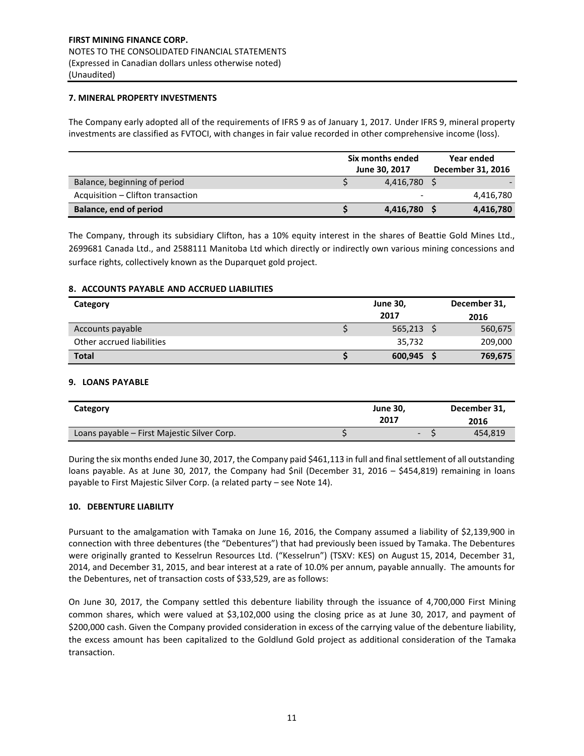#### **7. MINERAL PROPERTY INVESTMENTS**

The Company early adopted all of the requirements of IFRS 9 as of January 1, 2017. Under IFRS 9, mineral property investments are classified as FVTOCI, with changes in fair value recorded in other comprehensive income (loss).

|                                   | Six months ended<br>June 30, 2017 | <b>Year ended</b><br>December 31, 2016 |
|-----------------------------------|-----------------------------------|----------------------------------------|
| Balance, beginning of period      | 4,416,780 \$                      |                                        |
| Acquisition – Clifton transaction |                                   | 4,416,780                              |
| Balance, end of period            | 4,416,780                         | 4,416,780                              |

The Company, through its subsidiary Clifton, has a 10% equity interest in the shares of Beattie Gold Mines Ltd., 2699681 Canada Ltd., and 2588111 Manitoba Ltd which directly or indirectly own various mining concessions and surface rights, collectively known as the Duparquet gold project.

### **8. ACCOUNTS PAYABLE AND ACCRUED LIABILITIES**

| Category                  | <b>June 30,</b> | December 31, |
|---------------------------|-----------------|--------------|
|                           | 2017            | 2016         |
| Accounts payable          | 565,213         | 560,675      |
| Other accrued liabilities | 35,732          | 209,000      |
| <b>Total</b>              | 600,945         | 769,675      |

#### **9. LOANS PAYABLE**

| Category                                    | June 30,<br>2017 | December 31,<br>2016 |
|---------------------------------------------|------------------|----------------------|
| Loans payable – First Majestic Silver Corp. |                  | 454,819              |

During the six months ended June 30, 2017, the Company paid \$461,113 in full and final settlement of all outstanding loans payable. As at June 30, 2017, the Company had \$nil (December 31, 2016 – \$454,819) remaining in loans payable to First Majestic Silver Corp. (a related party – see Note 14).

## **10. DEBENTURE LIABILITY**

Pursuant to the amalgamation with Tamaka on June 16, 2016, the Company assumed a liability of \$2,139,900 in connection with three debentures (the "Debentures") that had previously been issued by Tamaka. The Debentures were originally granted to Kesselrun Resources Ltd. ("Kesselrun") (TSXV: KES) on August 15, 2014, December 31, 2014, and December 31, 2015, and bear interest at a rate of 10.0% per annum, payable annually. The amounts for the Debentures, net of transaction costs of \$33,529, are as follows:

On June 30, 2017, the Company settled this debenture liability through the issuance of 4,700,000 First Mining common shares, which were valued at \$3,102,000 using the closing price as at June 30, 2017, and payment of \$200,000 cash. Given the Company provided consideration in excess of the carrying value of the debenture liability, the excess amount has been capitalized to the Goldlund Gold project as additional consideration of the Tamaka transaction.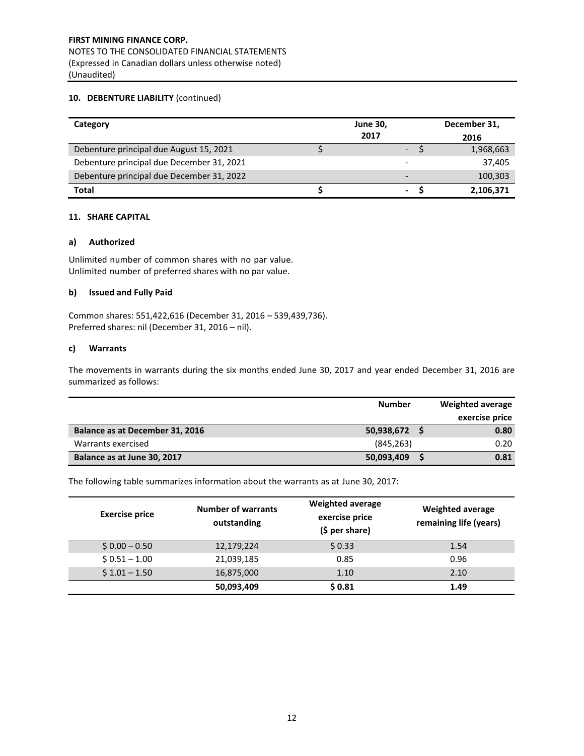## **10. DEBENTURE LIABILITY** (continued)

| Category                                  | <b>June 30,</b><br>2017  | December 31,<br>2016 |
|-------------------------------------------|--------------------------|----------------------|
| Debenture principal due August 15, 2021   | -                        | 1,968,663            |
| Debenture principal due December 31, 2021 | $\overline{\phantom{a}}$ | 37,405               |
| Debenture principal due December 31, 2022 | $\overline{\phantom{0}}$ | 100,303              |
| <b>Total</b>                              | ٠                        | 2,106,371            |

### **11. SHARE CAPITAL**

### **a) Authorized**

Unlimited number of common shares with no par value. Unlimited number of preferred shares with no par value.

### **b) Issued and Fully Paid**

Common shares: 551,422,616 (December 31, 2016 – 539,439,736). Preferred shares: nil (December 31, 2016 – nil).

### **c) Warrants**

The movements in warrants during the six months ended June 30, 2017 and year ended December 31, 2016 are summarized as follows:

|                                 | <b>Number</b> | Weighted average |
|---------------------------------|---------------|------------------|
|                                 |               | exercise price   |
| Balance as at December 31, 2016 | 50,938,672 \$ | 0.80             |
| Warrants exercised              | (845, 263)    | 0.20             |
| Balance as at June 30, 2017     | 50,093,409    | 0.81             |

The following table summarizes information about the warrants as at June 30, 2017:

| <b>Exercise price</b> | <b>Number of warrants</b><br>outstanding | <b>Weighted average</b><br>exercise price<br>$(5 per share)$ | <b>Weighted average</b><br>remaining life (years) |
|-----------------------|------------------------------------------|--------------------------------------------------------------|---------------------------------------------------|
| $$0.00 - 0.50$        | 12,179,224                               | \$0.33                                                       | 1.54                                              |
| $$0.51 - 1.00$        | 21,039,185                               | 0.85                                                         | 0.96                                              |
| $$1.01 - 1.50$        | 16,875,000                               | 1.10                                                         | 2.10                                              |
|                       | 50,093,409                               | \$0.81                                                       | 1.49                                              |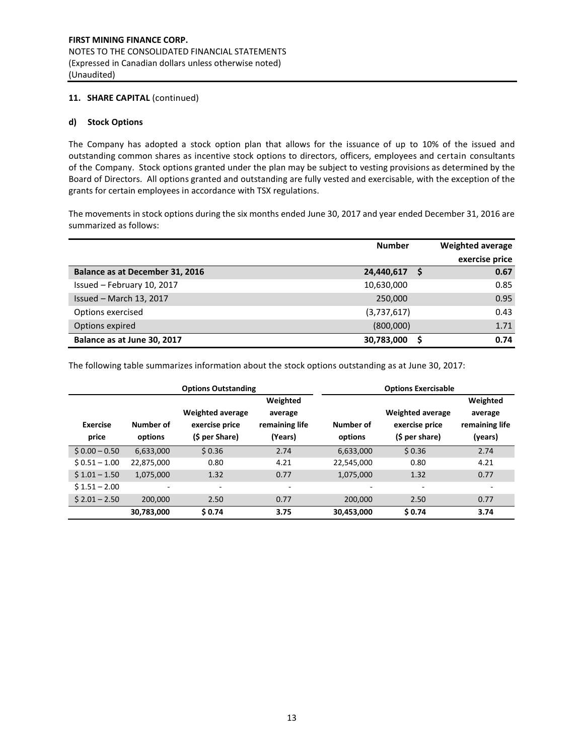# **11. SHARE CAPITAL** (continued)

# **d) Stock Options**

The Company has adopted a stock option plan that allows for the issuance of up to 10% of the issued and outstanding common shares as incentive stock options to directors, officers, employees and certain consultants of the Company. Stock options granted under the plan may be subject to vesting provisions as determined by the Board of Directors. All options granted and outstanding are fully vested and exercisable, with the exception of the grants for certain employees in accordance with TSX regulations.

The movements in stock options during the six months ended June 30, 2017 and year ended December 31, 2016 are summarized as follows:

|                                 | <b>Number</b> |   | <b>Weighted average</b> |
|---------------------------------|---------------|---|-------------------------|
|                                 |               |   | exercise price          |
| Balance as at December 31, 2016 | 24,440,617    | S | 0.67                    |
| Issued - February 10, 2017      | 10,630,000    |   | 0.85                    |
| Issued - March 13, 2017         | 250,000       |   | 0.95                    |
| Options exercised               | (3,737,617)   |   | 0.43                    |
| Options expired                 | (800,000)     |   | 1.71                    |
| Balance as at June 30, 2017     | 30,783,000    |   | 0.74                    |

The following table summarizes information about the stock options outstanding as at June 30, 2017:

|                          |                      | <b>Options Outstanding</b>                                  |                                                  | <b>Options Exercisable</b> |                                                             |                                                  |
|--------------------------|----------------------|-------------------------------------------------------------|--------------------------------------------------|----------------------------|-------------------------------------------------------------|--------------------------------------------------|
| <b>Exercise</b><br>price | Number of<br>options | <b>Weighted average</b><br>exercise price<br>(\$ per Share) | Weighted<br>average<br>remaining life<br>(Years) | Number of<br>options       | <b>Weighted average</b><br>exercise price<br>(\$ per share) | Weighted<br>average<br>remaining life<br>(years) |
| $$0.00 - 0.50$           | 6,633,000            | \$0.36                                                      | 2.74                                             | 6,633,000                  | \$0.36                                                      | 2.74                                             |
| $$0.51 - 1.00$           | 22,875,000           | 0.80                                                        | 4.21                                             | 22,545,000                 | 0.80                                                        | 4.21                                             |
| $$1.01 - 1.50$           | 1,075,000            | 1.32                                                        | 0.77                                             | 1,075,000                  | 1.32                                                        | 0.77                                             |
| $$1.51 - 2.00$           |                      | ٠                                                           | $\overline{\phantom{0}}$                         |                            | ٠                                                           | $\overline{\phantom{a}}$                         |
| $$2.01 - 2.50$           | 200,000              | 2.50                                                        | 0.77                                             | 200,000                    | 2.50                                                        | 0.77                                             |
|                          | 30,783,000           | \$0.74                                                      | 3.75                                             | 30,453,000                 | \$0.74                                                      | 3.74                                             |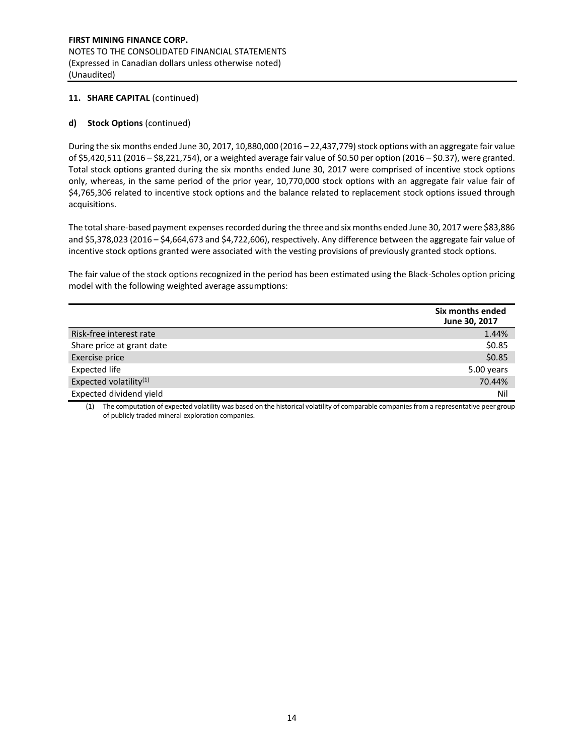# **11. SHARE CAPITAL** (continued)

# **d) Stock Options** (continued)

During the six months ended June 30, 2017, 10,880,000 (2016 – 22,437,779) stock options with an aggregate fair value of \$5,420,511 (2016 – \$8,221,754), or a weighted average fair value of \$0.50 per option (2016 – \$0.37), were granted. Total stock options granted during the six months ended June 30, 2017 were comprised of incentive stock options only, whereas, in the same period of the prior year, 10,770,000 stock options with an aggregate fair value fair of \$4,765,306 related to incentive stock options and the balance related to replacement stock options issued through acquisitions.

The total share-based payment expenses recorded during the three and six months ended June 30, 2017 were \$83,886 and \$5,378,023 (2016 – \$4,664,673 and \$4,722,606), respectively. Any difference between the aggregate fair value of incentive stock options granted were associated with the vesting provisions of previously granted stock options.

The fair value of the stock options recognized in the period has been estimated using the Black-Scholes option pricing model with the following weighted average assumptions:

|                                    | Six months ended<br>June 30, 2017 |
|------------------------------------|-----------------------------------|
| Risk-free interest rate            | 1.44%                             |
| Share price at grant date          | \$0.85                            |
| Exercise price                     | \$0.85                            |
| <b>Expected life</b>               | 5.00 years                        |
| Expected volatility <sup>(1)</sup> | 70.44%                            |
| Expected dividend yield            | Nil                               |

(1) The computation of expected volatility was based on the historical volatility of comparable companies from a representative peer group of publicly traded mineral exploration companies.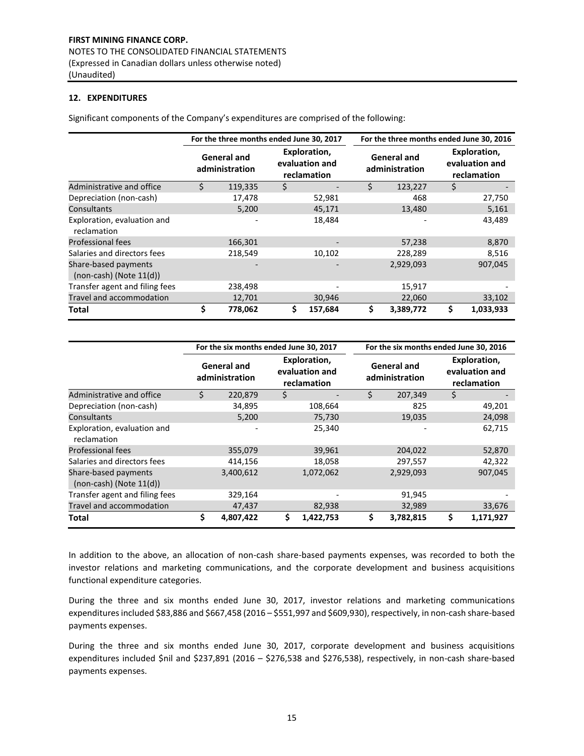# **12. EXPENDITURES**

Significant components of the Company's expenditures are comprised of the following:

|                                                      | For the three months ended June 30, 2017<br>For the three months ended June 30, 2016 |                                      |    |                                               |                                      |           |    |                                               |
|------------------------------------------------------|--------------------------------------------------------------------------------------|--------------------------------------|----|-----------------------------------------------|--------------------------------------|-----------|----|-----------------------------------------------|
|                                                      |                                                                                      | <b>General and</b><br>administration |    | Exploration,<br>evaluation and<br>reclamation | <b>General and</b><br>administration |           |    | Exploration,<br>evaluation and<br>reclamation |
| Administrative and office                            | Ś.                                                                                   | 119,335                              | \$ |                                               | \$                                   | 123,227   | \$ |                                               |
| Depreciation (non-cash)                              |                                                                                      | 17,478                               |    | 52,981                                        |                                      | 468       |    | 27,750                                        |
| Consultants                                          |                                                                                      | 5,200                                |    | 45,171                                        |                                      | 13,480    |    | 5,161                                         |
| Exploration, evaluation and<br>reclamation           |                                                                                      |                                      |    | 18,484                                        |                                      |           |    | 43,489                                        |
| <b>Professional fees</b>                             |                                                                                      | 166,301                              |    |                                               |                                      | 57,238    |    | 8,870                                         |
| Salaries and directors fees                          |                                                                                      | 218,549                              |    | 10,102                                        |                                      | 228,289   |    | 8,516                                         |
| Share-based payments<br>$(non-cash)$ (Note $11(d)$ ) |                                                                                      |                                      |    |                                               |                                      | 2,929,093 |    | 907,045                                       |
| Transfer agent and filing fees                       |                                                                                      | 238,498                              |    |                                               |                                      | 15,917    |    |                                               |
| Travel and accommodation                             |                                                                                      | 12,701                               |    | 30,946                                        |                                      | 22,060    |    | 33,102                                        |
| Total                                                | \$                                                                                   | 778,062                              | \$ | 157,684                                       | \$                                   | 3,389,772 | \$ | 1,033,933                                     |

|                                                      |    | For the six months ended June 30, 2017 |                                               | For the six months ended June 30, 2016 |    |                                               |  |
|------------------------------------------------------|----|----------------------------------------|-----------------------------------------------|----------------------------------------|----|-----------------------------------------------|--|
|                                                      |    | <b>General and</b><br>administration   | Exploration,<br>evaluation and<br>reclamation | <b>General and</b><br>administration   |    | Exploration,<br>evaluation and<br>reclamation |  |
| Administrative and office                            | Ś. | 220,879                                | \$                                            | \$<br>207,349                          | \$ |                                               |  |
| Depreciation (non-cash)                              |    | 34,895                                 | 108,664                                       | 825                                    |    | 49,201                                        |  |
| Consultants                                          |    | 5,200                                  | 75,730                                        | 19,035                                 |    | 24,098                                        |  |
| Exploration, evaluation and<br>reclamation           |    |                                        | 25,340                                        |                                        |    | 62,715                                        |  |
| <b>Professional fees</b>                             |    | 355,079                                | 39,961                                        | 204,022                                |    | 52,870                                        |  |
| Salaries and directors fees                          |    | 414,156                                | 18,058                                        | 297,557                                |    | 42,322                                        |  |
| Share-based payments<br>$(non-cash)$ (Note $11(d)$ ) |    | 3,400,612                              | 1,072,062                                     | 2,929,093                              |    | 907,045                                       |  |
| Transfer agent and filing fees                       |    | 329,164                                |                                               | 91,945                                 |    |                                               |  |
| Travel and accommodation                             |    | 47,437                                 | 82,938                                        | 32,989                                 |    | 33,676                                        |  |
| Total                                                | \$ | 4,807,422                              | \$<br>1,422,753                               | \$<br>3,782,815                        | \$ | 1,171,927                                     |  |

In addition to the above, an allocation of non-cash share-based payments expenses, was recorded to both the investor relations and marketing communications, and the corporate development and business acquisitions functional expenditure categories.

During the three and six months ended June 30, 2017, investor relations and marketing communications expenditures included \$83,886 and \$667,458 (2016 – \$551,997 and \$609,930), respectively, in non-cash share-based payments expenses.

During the three and six months ended June 30, 2017, corporate development and business acquisitions expenditures included \$nil and \$237,891 (2016 – \$276,538 and \$276,538), respectively, in non-cash share-based payments expenses.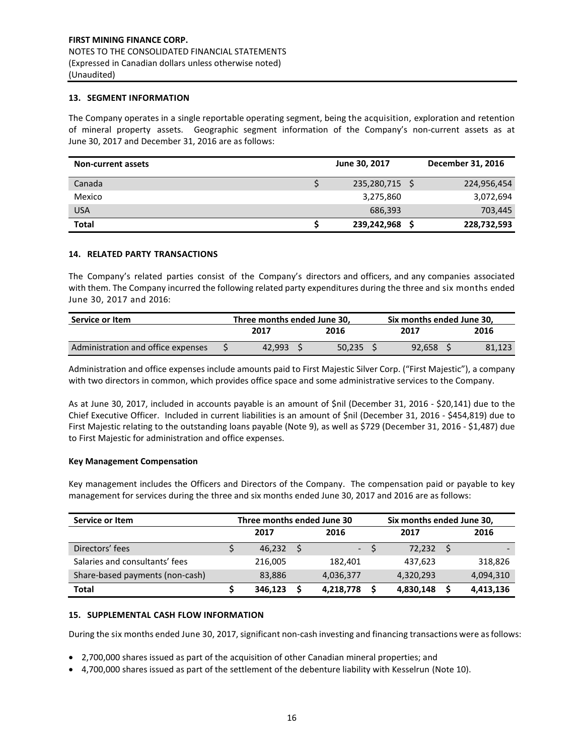### **13. SEGMENT INFORMATION**

The Company operates in a single reportable operating segment, being the acquisition, exploration and retention of mineral property assets. Geographic segment information of the Company's non-current assets as at June 30, 2017 and December 31, 2016 are as follows:

| <b>Non-current assets</b> | June 30, 2017 | December 31, 2016 |
|---------------------------|---------------|-------------------|
| Canada                    | 235,280,715   | 224,956,454       |
| Mexico                    | 3,275,860     | 3,072,694         |
| <b>USA</b>                | 686,393       | 703,445           |
| <b>Total</b>              | 239,242,968   | 228,732,593       |

#### **14. RELATED PARTY TRANSACTIONS**

The Company's related parties consist of the Company's directors and officers, and any companies associated with them. The Company incurred the following related party expenditures during the three and six months ended June 30, 2017 and 2016:

| Service or Item                    | Three months ended June 30. |        |  |        |      | Six months ended June 30. |      |        |
|------------------------------------|-----------------------------|--------|--|--------|------|---------------------------|------|--------|
|                                    |                             | 2017   |  | 2016   | 2017 |                           | 2016 |        |
| Administration and office expenses |                             | 42.993 |  | 50.235 |      | 92.658                    |      | 81,123 |

Administration and office expenses include amounts paid to First Majestic Silver Corp. ("First Majestic"), a company with two directors in common, which provides office space and some administrative services to the Company.

As at June 30, 2017, included in accounts payable is an amount of \$nil (December 31, 2016 - \$20,141) due to the Chief Executive Officer. Included in current liabilities is an amount of \$nil (December 31, 2016 - \$454,819) due to First Majestic relating to the outstanding loans payable (Note 9), as well as \$729 (December 31, 2016 - \$1,487) due to First Majestic for administration and office expenses.

#### **Key Management Compensation**

Key management includes the Officers and Directors of the Company. The compensation paid or payable to key management for services during the three and six months ended June 30, 2017 and 2016 are as follows:

| Service or Item                 | Three months ended June 30 |         |      |           |      | Six months ended June 30, |      |           |  |
|---------------------------------|----------------------------|---------|------|-----------|------|---------------------------|------|-----------|--|
|                                 | 2017                       |         | 2016 |           | 2017 |                           | 2016 |           |  |
| Directors' fees                 |                            | 46,232  | -S   |           | $-S$ | 72,232 \$                 |      |           |  |
| Salaries and consultants' fees  |                            | 216,005 |      | 182,401   |      | 437,623                   |      | 318,826   |  |
| Share-based payments (non-cash) |                            | 83,886  |      | 4,036,377 |      | 4,320,293                 |      | 4,094,310 |  |
| <b>Total</b>                    |                            | 346,123 |      | 4,218,778 |      | 4,830,148                 |      | 4,413,136 |  |

#### **15. SUPPLEMENTAL CASH FLOW INFORMATION**

During the six months ended June 30, 2017, significant non-cash investing and financing transactions were as follows:

- 2,700,000 shares issued as part of the acquisition of other Canadian mineral properties; and
- 4,700,000 shares issued as part of the settlement of the debenture liability with Kesselrun (Note 10).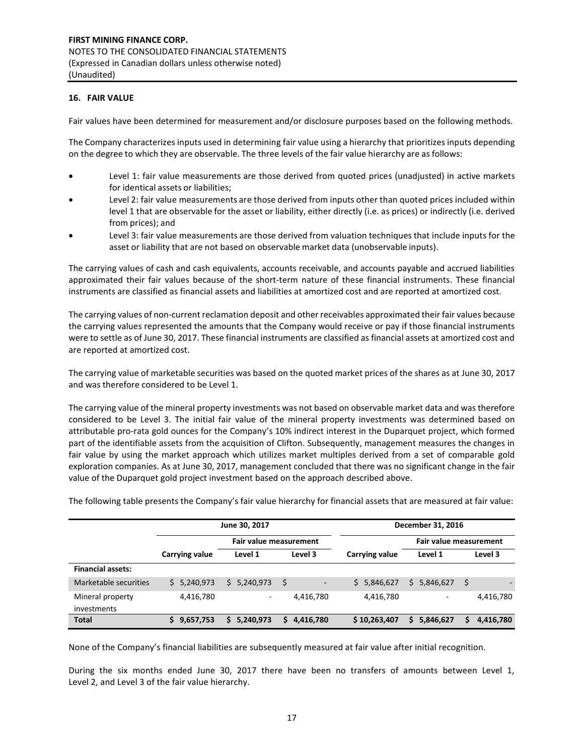# **16. FAIR VALUE**

Fair values have been determined for measurement and/or disclosure purposes based on the following methods.

The Company characterizes inputs used in determining fair value using a hierarchy that prioritizes inputs depending on the degree to which they are observable. The three levels of the fair value hierarchy are as follows:

- Level 1: fair value measurements are those derived from quoted prices (unadjusted) in active markets for identical assets or liabilities;
- Level 2: fair value measurements are those derived from inputs other than quoted prices included within level 1 that are observable for the asset or liability, either directly (i.e. as prices) or indirectly (i.e. derived from prices); and
- Level 3: fair value measurements are those derived from valuation techniques that include inputs for the asset or liability that are not based on observable market data (unobservable inputs).

The carrying values of cash and cash equivalents, accounts receivable, and accounts payable and accrued liabilities approximated their fair values because of the short-term nature of these financial instruments. These financial instruments are classified as financial assets and liabilities at amortized cost and are reported at amortized cost.

The carrying values of non-current reclamation deposit and other receivables approximated their fair values because the carrying values represented the amounts that the Company would receive or pay if those financial instruments were to settle as of June 30, 2017. These financial instruments are classified as financial assets at amortized cost and are reported at amortized cost.

The carrying value of marketable securities was based on the quoted market prices of the shares as at June 30, 2017 and was therefore considered to be Level 1.

The carrying value of the mineral property investments was not based on observable market data and was therefore considered to be Level 3. The initial fair value of the mineral property investments was determined based on attributable pro-rata gold ounces for the Company's 10% indirect interest in the Duparquet project, which formed part of the identifiable assets from the acquisition of Clifton. Subsequently, management measures the changes in fair value by using the market approach which utilizes market multiples derived from a set of comparable gold exploration companies. As at June 30, 2017, management concluded that there was no significant change in the fair value of the Duparquet gold project investment based on the approach described above.

|                          |                 | June 30, 2017            |                                 | December 31, 2016 |                 |                        |  |  |  |
|--------------------------|-----------------|--------------------------|---------------------------------|-------------------|-----------------|------------------------|--|--|--|
|                          |                 | Fair value measurement   |                                 |                   |                 | Fair value measurement |  |  |  |
|                          | Carrying value  | Level 1                  | Level 3                         | Carrying value    | Level 1         | Level 3                |  |  |  |
| <b>Financial assets:</b> |                 |                          |                                 |                   |                 |                        |  |  |  |
| Marketable securities    | 5,240,973<br>S. | \$5,240,973              | -\$<br>$\overline{\phantom{a}}$ | \$5,846,627       | 5,846,627<br>S. | \$                     |  |  |  |
| Mineral property         | 4,416,780       | $\overline{\phantom{a}}$ | 4,416,780                       | 4,416,780         |                 | 4,416,780              |  |  |  |
| investments              |                 |                          |                                 |                   |                 |                        |  |  |  |
| <b>Total</b>             | 9,657,753       | 5,240,973                | 4,416,780<br>S                  | \$10,263,407      | 5,846,627<br>S  | 4,416,780<br>s         |  |  |  |

The following table presents the Company's fair value hierarchy for financial assets that are measured at fair value:

None of the Company's financial liabilities are subsequently measured at fair value after initial recognition.

During the six months ended June 30, 2017 there have been no transfers of amounts between Level 1, Level 2, and Level 3 of the fair value hierarchy.